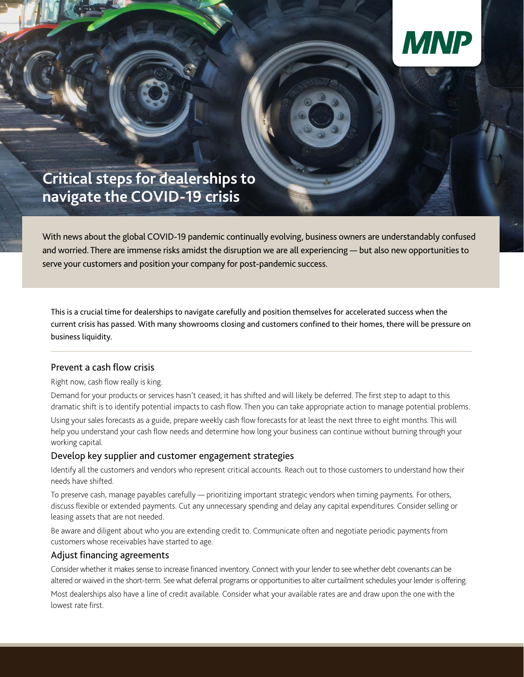

# **Critical steps for dealerships to navigate the COVID-19 crisis**

With news about the global COVID-19 pandemic continually evolving, business owners are understandably confused and worried. There are immense risks amidst the disruption we are all experiencing — but also new opportunities to serve your customers and position your company for post-pandemic success.

This is a crucial time for dealerships to navigate carefully and position themselves for accelerated success when the current crisis has passed. With many showrooms closing and customers confined to their homes, there will be pressure on business liquidity.

# Prevent a cash flow crisis

Right now, cash flow really is king.

Demand for your products or services hasn't ceased; it has shifted and will likely be deferred. The first step to adapt to this dramatic shift is to identify potential impacts to cash flow. Then you can take appropriate action to manage potential problems.

Using your sales forecasts as a guide, prepare weekly cash flow forecasts for at least the next three to eight months. This will help you understand your cash flow needs and determine how long your business can continue without burning through your working capital.

## Develop key supplier and customer engagement strategies

Identify all the customers and vendors who represent critical accounts. Reach out to those customers to understand how their needs have shifted.

To preserve cash, manage payables carefully — prioritizing important strategic vendors when timing payments. For others, discuss flexible or extended payments. Cut any unnecessary spending and delay any capital expenditures. Consider selling or leasing assets that are not needed.

Be aware and diligent about who you are extending credit to. Communicate often and negotiate periodic payments from customers whose receivables have started to age.

## Adjust financing agreements

Consider whether it makes sense to increase financed inventory. Connect with your lender to see whether debt covenants can be altered or waived in the short-term. See what deferral programs or opportunities to alter curtailment schedules your lender is offering.

Most dealerships also have a line of credit available. Consider what your available rates are and draw upon the one with the lowest rate first.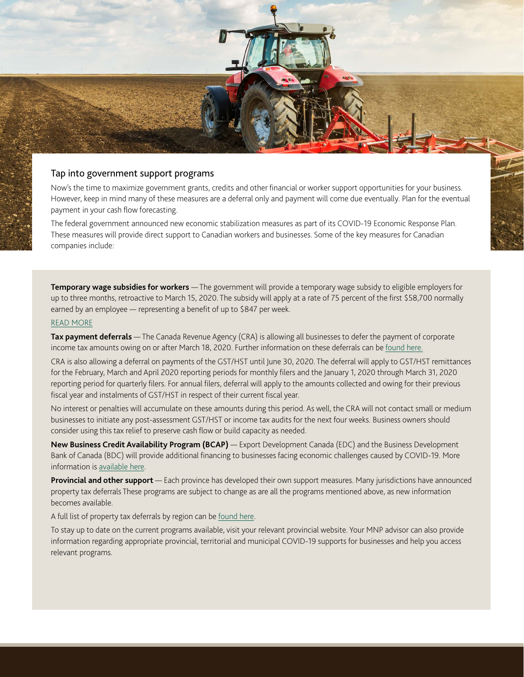

## Tap into government support programs

Now's the time to maximize government grants, credits and other financial or worker support opportunities for your business. However, keep in mind many of these measures are a deferral only and payment will come due eventually. Plan for the eventual payment in your cash flow forecasting.

The federal government announced new economic stabilization measures as part of its COVID-19 Economic Response Plan. These measures will provide direct support to Canadian workers and businesses. Some of the key measures for Canadian companies include:

**Temporary wage subsidies for workers** — The government will provide a temporary wage subsidy to eligible employers for up to three months, retroactive to March 15, 2020. The subsidy will apply at a rate of 75 percent of the first \$58,700 normally earned by an employee — representing a benefit of up to \$847 per week.

#### [READ MORE](https://www.canada.ca/en/department-finance/economic-response-plan/wage-subsidy.html)

**Tax payment deferrals** — The Canada Revenue Agency (CRA) is allowing all businesses to defer the payment of corporate income tax amounts owing on or after March 18, 2020. Further information on these deferrals can be [found here.](https://www.mnp.ca/en/posts/income-tax-filing-deadlines-extended-2020)

CRA is also allowing a deferral on payments of the GST/HST until June 30, 2020. The deferral will apply to GST/HST remittances for the February, March and April 2020 reporting periods for monthly filers and the January 1, 2020 through March 31, 2020 reporting period for quarterly filers. For annual filers, deferral will apply to the amounts collected and owing for their previous fiscal year and instalments of GST/HST in respect of their current fiscal year.

No interest or penalties will accumulate on these amounts during this period. As well, the CRA will not contact small or medium businesses to initiate any post-assessment GST/HST or income tax audits for the next four weeks. Business owners should consider using this tax relief to preserve cash flow or build capacity as needed.

**New Business Credit Availability Program (BCAP)** — Export Development Canada (EDC) and the Business Development Bank of Canada (BDC) will provide additional financing to businesses facing economic challenges caused by COVID-19. More information is [available here.](https://www.mnp.ca/en/posts/what-you-need-to-know-about-new-support-programs-for-entrepreneurs)

**Provincial and other support** — Each province has developed their own support measures. Many jurisdictions have announced property tax deferrals These programs are subject to change as are all the programs mentioned above, as new information becomes available.

A full list of property tax deferrals by region can be [found here.](https://www.mnp.ca/en/posts/mnp-vlog-property-tax-deferral-update)

To stay up to date on the current programs available, visit your relevant provincial website. Your MNP advisor can also provide information regarding appropriate provincial, territorial and municipal COVID-19 supports for businesses and help you access relevant programs.

MNP.ca